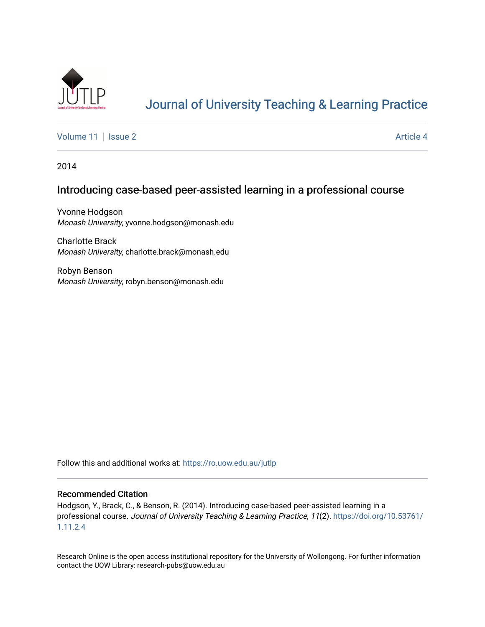

# [Journal of University Teaching & Learning Practice](https://ro.uow.edu.au/jutlp)

[Volume 11](https://ro.uow.edu.au/jutlp/vol11) | [Issue 2](https://ro.uow.edu.au/jutlp/vol11/iss2) Article 4

2014

# Introducing case-based peer-assisted learning in a professional course

Yvonne Hodgson Monash University, yvonne.hodgson@monash.edu

Charlotte Brack Monash University, charlotte.brack@monash.edu

Robyn Benson Monash University, robyn.benson@monash.edu

Follow this and additional works at: [https://ro.uow.edu.au/jutlp](https://ro.uow.edu.au/jutlp?utm_source=ro.uow.edu.au%2Fjutlp%2Fvol11%2Fiss2%2F4&utm_medium=PDF&utm_campaign=PDFCoverPages) 

#### Recommended Citation

Hodgson, Y., Brack, C., & Benson, R. (2014). Introducing case-based peer-assisted learning in a professional course. Journal of University Teaching & Learning Practice, 11(2). [https://doi.org/10.53761/](https://doi.org/10.53761/1.11.2.4) [1.11.2.4](https://doi.org/10.53761/1.11.2.4) 

Research Online is the open access institutional repository for the University of Wollongong. For further information contact the UOW Library: research-pubs@uow.edu.au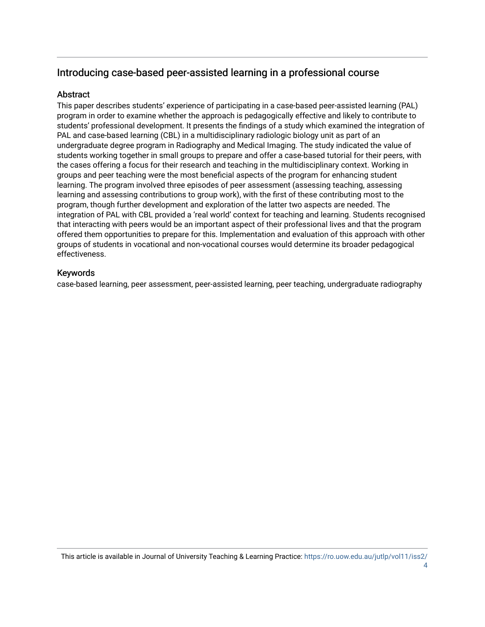# Introducing case-based peer-assisted learning in a professional course

# **Abstract**

This paper describes students' experience of participating in a case-based peer-assisted learning (PAL) program in order to examine whether the approach is pedagogically effective and likely to contribute to students' professional development. It presents the findings of a study which examined the integration of PAL and case-based learning (CBL) in a multidisciplinary radiologic biology unit as part of an undergraduate degree program in Radiography and Medical Imaging. The study indicated the value of students working together in small groups to prepare and offer a case-based tutorial for their peers, with the cases offering a focus for their research and teaching in the multidisciplinary context. Working in groups and peer teaching were the most beneficial aspects of the program for enhancing student learning. The program involved three episodes of peer assessment (assessing teaching, assessing learning and assessing contributions to group work), with the first of these contributing most to the program, though further development and exploration of the latter two aspects are needed. The integration of PAL with CBL provided a 'real world' context for teaching and learning. Students recognised that interacting with peers would be an important aspect of their professional lives and that the program offered them opportunities to prepare for this. Implementation and evaluation of this approach with other groups of students in vocational and non-vocational courses would determine its broader pedagogical effectiveness.

# Keywords

case-based learning, peer assessment, peer-assisted learning, peer teaching, undergraduate radiography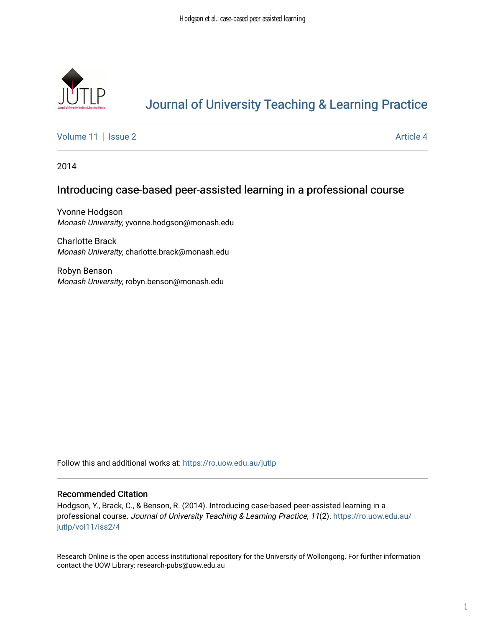

# [Journal of University Teaching & Learning Practice](https://ro.uow.edu.au/jutlp)

[Volume 11](https://ro.uow.edu.au/jutlp/vol11) | [Issue 2](https://ro.uow.edu.au/jutlp/vol11/iss2) Article 4

2014

# Introducing case-based peer-assisted learning in a professional course

Yvonne Hodgson Monash University, yvonne.hodgson@monash.edu

Charlotte Brack Monash University, charlotte.brack@monash.edu

Robyn Benson Monash University, robyn.benson@monash.edu

Follow this and additional works at: [https://ro.uow.edu.au/jutlp](https://ro.uow.edu.au/jutlp?utm_source=ro.uow.edu.au%2Fjutlp%2Fvol11%2Fiss2%2F4&utm_medium=PDF&utm_campaign=PDFCoverPages) 

## Recommended Citation

Hodgson, Y., Brack, C., & Benson, R. (2014). Introducing case-based peer-assisted learning in a professional course. Journal of University Teaching & Learning Practice, 11(2). [https://ro.uow.edu.au/](https://ro.uow.edu.au/jutlp/vol11/iss2/4?utm_source=ro.uow.edu.au%2Fjutlp%2Fvol11%2Fiss2%2F4&utm_medium=PDF&utm_campaign=PDFCoverPages) [jutlp/vol11/iss2/4](https://ro.uow.edu.au/jutlp/vol11/iss2/4?utm_source=ro.uow.edu.au%2Fjutlp%2Fvol11%2Fiss2%2F4&utm_medium=PDF&utm_campaign=PDFCoverPages) 

Research Online is the open access institutional repository for the University of Wollongong. For further information contact the UOW Library: research-pubs@uow.edu.au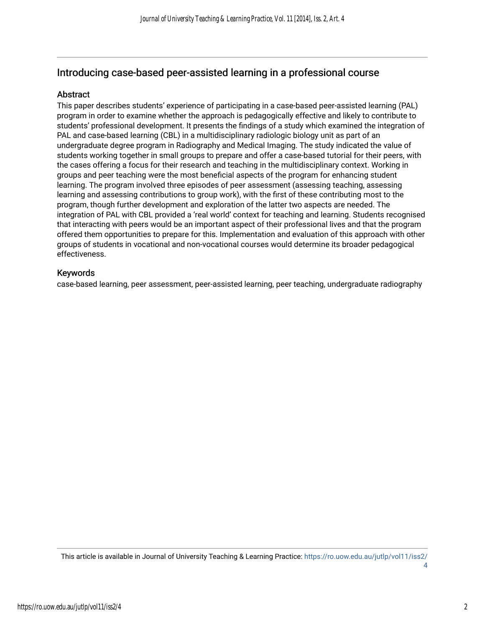# Introducing case-based peer-assisted learning in a professional course

## Abstract

This paper describes students' experience of participating in a case-based peer-assisted learning (PAL) program in order to examine whether the approach is pedagogically effective and likely to contribute to students' professional development. It presents the findings of a study which examined the integration of PAL and case-based learning (CBL) in a multidisciplinary radiologic biology unit as part of an undergraduate degree program in Radiography and Medical Imaging. The study indicated the value of students working together in small groups to prepare and offer a case-based tutorial for their peers, with the cases offering a focus for their research and teaching in the multidisciplinary context. Working in groups and peer teaching were the most beneficial aspects of the program for enhancing student learning. The program involved three episodes of peer assessment (assessing teaching, assessing learning and assessing contributions to group work), with the first of these contributing most to the program, though further development and exploration of the latter two aspects are needed. The integration of PAL with CBL provided a 'real world' context for teaching and learning. Students recognised that interacting with peers would be an important aspect of their professional lives and that the program offered them opportunities to prepare for this. Implementation and evaluation of this approach with other groups of students in vocational and non-vocational courses would determine its broader pedagogical effectiveness.

## Keywords

case-based learning, peer assessment, peer-assisted learning, peer teaching, undergraduate radiography

This article is available in Journal of University Teaching & Learning Practice: [https://ro.uow.edu.au/jutlp/vol11/iss2/](https://ro.uow.edu.au/jutlp/vol11/iss2/4) [4](https://ro.uow.edu.au/jutlp/vol11/iss2/4)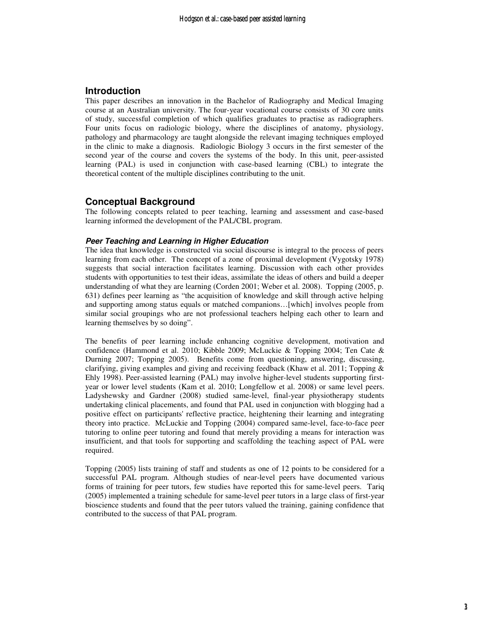### **Introduction**

This paper describes an innovation in the Bachelor of Radiography and Medical Imaging course at an Australian university. The four-year vocational course consists of 30 core units of study, successful completion of which qualifies graduates to practise as radiographers. Four units focus on radiologic biology, where the disciplines of anatomy, physiology, pathology and pharmacology are taught alongside the relevant imaging techniques employed in the clinic to make a diagnosis. Radiologic Biology 3 occurs in the first semester of the second year of the course and covers the systems of the body. In this unit, peer-assisted learning (PAL) is used in conjunction with case-based learning (CBL) to integrate the theoretical content of the multiple disciplines contributing to the unit.

## **Conceptual Background**

The following concepts related to peer teaching, learning and assessment and case-based learning informed the development of the PAL/CBL program.

#### **Peer Teaching and Learning in Higher Education**

The idea that knowledge is constructed via social discourse is integral to the process of peers learning from each other. The concept of a zone of proximal development (Vygotsky 1978) suggests that social interaction facilitates learning. Discussion with each other provides students with opportunities to test their ideas, assimilate the ideas of others and build a deeper understanding of what they are learning (Corden 2001; Weber et al. 2008). Topping (2005, p. 631) defines peer learning as "the acquisition of knowledge and skill through active helping and supporting among status equals or matched companions…[which] involves people from similar social groupings who are not professional teachers helping each other to learn and learning themselves by so doing".

The benefits of peer learning include enhancing cognitive development, motivation and confidence (Hammond et al. 2010; Kibble 2009; McLuckie & Topping 2004; Ten Cate & Durning 2007; Topping 2005). Benefits come from questioning, answering, discussing, clarifying, giving examples and giving and receiving feedback (Khaw et al. 2011; Topping & Ehly 1998). Peer-assisted learning (PAL) may involve higher-level students supporting firstyear or lower level students (Kam et al. 2010; Longfellow et al. 2008) or same level peers. Ladyshewsky and Gardner (2008) studied same-level, final-year physiotherapy students undertaking clinical placements, and found that PAL used in conjunction with blogging had a positive effect on participants' reflective practice, heightening their learning and integrating theory into practice. McLuckie and Topping (2004) compared same-level, face-to-face peer tutoring to online peer tutoring and found that merely providing a means for interaction was insufficient, and that tools for supporting and scaffolding the teaching aspect of PAL were required.

Topping (2005) lists training of staff and students as one of 12 points to be considered for a successful PAL program. Although studies of near-level peers have documented various forms of training for peer tutors, few studies have reported this for same-level peers. Tariq (2005) implemented a training schedule for same-level peer tutors in a large class of first-year bioscience students and found that the peer tutors valued the training, gaining confidence that contributed to the success of that PAL program.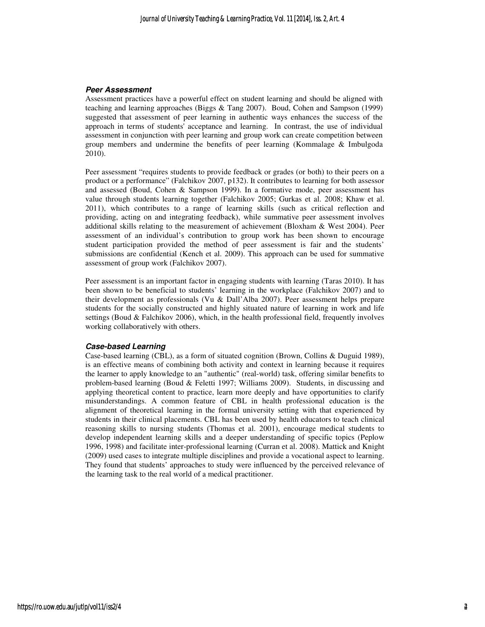#### **Peer Assessment**

Assessment practices have a powerful effect on student learning and should be aligned with teaching and learning approaches (Biggs & Tang 2007). Boud, Cohen and Sampson (1999) suggested that assessment of peer learning in authentic ways enhances the success of the approach in terms of students' acceptance and learning. In contrast, the use of individual assessment in conjunction with peer learning and group work can create competition between group members and undermine the benefits of peer learning (Kommalage & Imbulgoda 2010).

Peer assessment "requires students to provide feedback or grades (or both) to their peers on a product or a performance" (Falchikov 2007, p132). It contributes to learning for both assessor and assessed (Boud, Cohen & Sampson 1999). In a formative mode, peer assessment has value through students learning together (Falchikov 2005; Gurkas et al. 2008; Khaw et al. 2011), which contributes to a range of learning skills (such as critical reflection and providing, acting on and integrating feedback), while summative peer assessment involves additional skills relating to the measurement of achievement (Bloxham & West 2004). Peer assessment of an individual's contribution to group work has been shown to encourage student participation provided the method of peer assessment is fair and the students' submissions are confidential (Kench et al. 2009). This approach can be used for summative assessment of group work (Falchikov 2007).

Peer assessment is an important factor in engaging students with learning (Taras 2010). It has been shown to be beneficial to students' learning in the workplace (Falchikov 2007) and to their development as professionals (Vu & Dall'Alba 2007). Peer assessment helps prepare students for the socially constructed and highly situated nature of learning in work and life settings (Boud  $&$  Falchikov 2006), which, in the health professional field, frequently involves working collaboratively with others.

#### **Case-based Learning**

Case-based learning (CBL), as a form of situated cognition (Brown, Collins & Duguid 1989), is an effective means of combining both activity and context in learning because it requires the learner to apply knowledge to an "authentic" (real-world) task, offering similar benefits to problem-based learning (Boud & Feletti 1997; Williams 2009). Students, in discussing and applying theoretical content to practice, learn more deeply and have opportunities to clarify misunderstandings. A common feature of CBL in health professional education is the alignment of theoretical learning in the formal university setting with that experienced by students in their clinical placements. CBL has been used by health educators to teach clinical reasoning skills to nursing students (Thomas et al. 2001), encourage medical students to develop independent learning skills and a deeper understanding of specific topics (Peplow 1996, 1998) and facilitate inter-professional learning (Curran et al. 2008). Mattick and Knight (2009) used cases to integrate multiple disciplines and provide a vocational aspect to learning. They found that students' approaches to study were influenced by the perceived relevance of the learning task to the real world of a medical practitioner.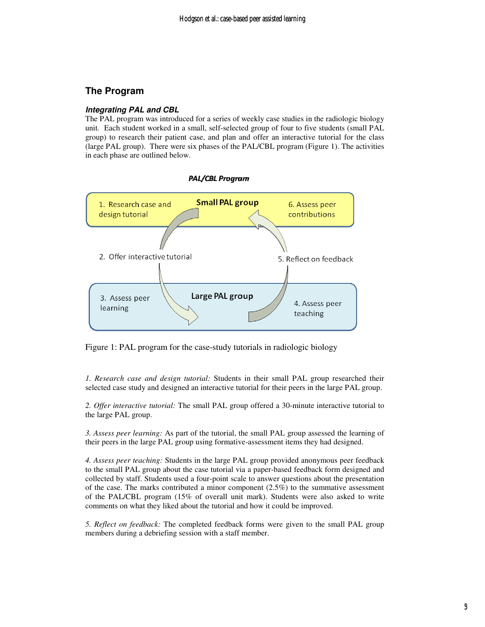# **The Program**

#### **Integrating PAL and CBL**

The PAL program was introduced for a series of weekly case studies in the radiologic biology unit. Each student worked in a small, self-selected group of four to five students (small PAL group) to research their patient case, and plan and offer an interactive tutorial for the class (large PAL group). There were six phases of the PAL/CBL program (Figure 1). The activities in each phase are outlined below.



Figure 1: PAL program for the case-study tutorials in radiologic biology

*1. Research case and design tutorial:* Students in their small PAL group researched their selected case study and designed an interactive tutorial for their peers in the large PAL group.

*2. Offer interactive tutorial:* The small PAL group offered a 30-minute interactive tutorial to the large PAL group.

*3. Assess peer learning:* As part of the tutorial, the small PAL group assessed the learning of their peers in the large PAL group using formative-assessment items they had designed.

*4. Assess peer teaching:* Students in the large PAL group provided anonymous peer feedback to the small PAL group about the case tutorial via a paper-based feedback form designed and collected by staff. Students used a four-point scale to answer questions about the presentation of the case. The marks contributed a minor component (2.5%) to the summative assessment of the PAL/CBL program (15% of overall unit mark). Students were also asked to write comments on what they liked about the tutorial and how it could be improved.

*5. Reflect on feedback:* The completed feedback forms were given to the small PAL group members during a debriefing session with a staff member.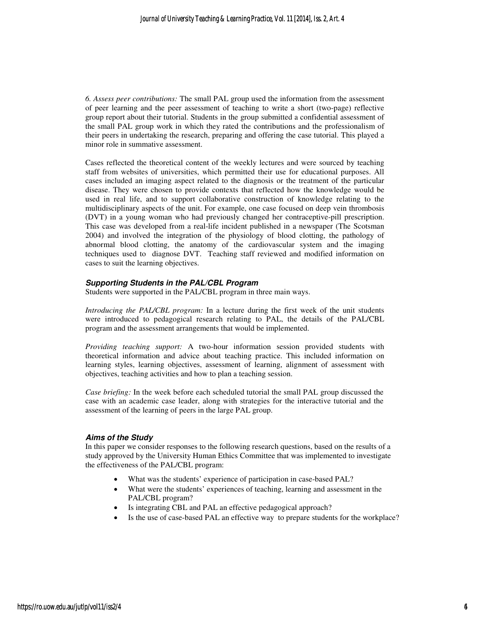*6. Assess peer contributions:* The small PAL group used the information from the assessment of peer learning and the peer assessment of teaching to write a short (two-page) reflective group report about their tutorial. Students in the group submitted a confidential assessment of the small PAL group work in which they rated the contributions and the professionalism of their peers in undertaking the research, preparing and offering the case tutorial. This played a minor role in summative assessment.

Cases reflected the theoretical content of the weekly lectures and were sourced by teaching staff from websites of universities, which permitted their use for educational purposes. All cases included an imaging aspect related to the diagnosis or the treatment of the particular disease. They were chosen to provide contexts that reflected how the knowledge would be used in real life, and to support collaborative construction of knowledge relating to the multidisciplinary aspects of the unit. For example, one case focused on deep vein thrombosis (DVT) in a young woman who had previously changed her contraceptive-pill prescription. This case was developed from a real-life incident published in a newspaper (The Scotsman 2004) and involved the integration of the physiology of blood clotting, the pathology of abnormal blood clotting, the anatomy of the cardiovascular system and the imaging techniques used to diagnose DVT. Teaching staff reviewed and modified information on cases to suit the learning objectives.

#### **Supporting Students in the PAL/CBL Program**

Students were supported in the PAL/CBL program in three main ways.

*Introducing the PAL/CBL program:* In a lecture during the first week of the unit students were introduced to pedagogical research relating to PAL, the details of the PAL/CBL program and the assessment arrangements that would be implemented.

*Providing teaching support:* A two-hour information session provided students with theoretical information and advice about teaching practice. This included information on learning styles, learning objectives, assessment of learning, alignment of assessment with objectives, teaching activities and how to plan a teaching session.

*Case briefing:* In the week before each scheduled tutorial the small PAL group discussed the case with an academic case leader, along with strategies for the interactive tutorial and the assessment of the learning of peers in the large PAL group.

#### **Aims of the Study**

In this paper we consider responses to the following research questions, based on the results of a study approved by the University Human Ethics Committee that was implemented to investigate the effectiveness of the PAL/CBL program:

- What was the students' experience of participation in case-based PAL?
- What were the students' experiences of teaching, learning and assessment in the PAL/CBL program?
- Is integrating CBL and PAL an effective pedagogical approach?
- Is the use of case-based PAL an effective way to prepare students for the workplace?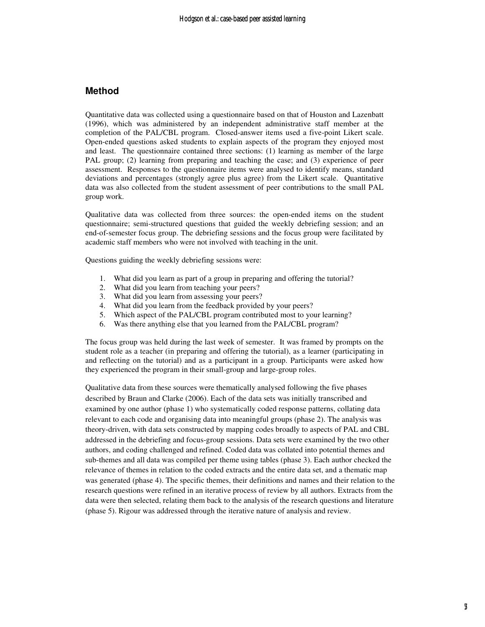# **Method**

Quantitative data was collected using a questionnaire based on that of Houston and Lazenbatt (1996), which was administered by an independent administrative staff member at the completion of the PAL/CBL program. Closed-answer items used a five-point Likert scale. Open-ended questions asked students to explain aspects of the program they enjoyed most and least. The questionnaire contained three sections: (1) learning as member of the large PAL group; (2) learning from preparing and teaching the case; and (3) experience of peer assessment. Responses to the questionnaire items were analysed to identify means, standard deviations and percentages (strongly agree plus agree) from the Likert scale. Quantitative data was also collected from the student assessment of peer contributions to the small PAL group work.

Qualitative data was collected from three sources: the open-ended items on the student questionnaire; semi-structured questions that guided the weekly debriefing session; and an end-of-semester focus group. The debriefing sessions and the focus group were facilitated by academic staff members who were not involved with teaching in the unit.

Questions guiding the weekly debriefing sessions were:

- 1. What did you learn as part of a group in preparing and offering the tutorial?
- 2. What did you learn from teaching your peers?
- 3. What did you learn from assessing your peers?
- 4. What did you learn from the feedback provided by your peers?
- 5. Which aspect of the PAL/CBL program contributed most to your learning?
- 6. Was there anything else that you learned from the PAL/CBL program?

The focus group was held during the last week of semester. It was framed by prompts on the student role as a teacher (in preparing and offering the tutorial), as a learner (participating in and reflecting on the tutorial) and as a participant in a group. Participants were asked how they experienced the program in their small-group and large-group roles.

Qualitative data from these sources were thematically analysed following the five phases described by Braun and Clarke (2006). Each of the data sets was initially transcribed and examined by one author (phase 1) who systematically coded response patterns, collating data relevant to each code and organising data into meaningful groups (phase 2). The analysis was theory-driven, with data sets constructed by mapping codes broadly to aspects of PAL and CBL addressed in the debriefing and focus-group sessions. Data sets were examined by the two other authors, and coding challenged and refined. Coded data was collated into potential themes and sub-themes and all data was compiled per theme using tables (phase 3). Each author checked the relevance of themes in relation to the coded extracts and the entire data set, and a thematic map was generated (phase 4). The specific themes, their definitions and names and their relation to the research questions were refined in an iterative process of review by all authors. Extracts from the data were then selected, relating them back to the analysis of the research questions and literature (phase 5). Rigour was addressed through the iterative nature of analysis and review.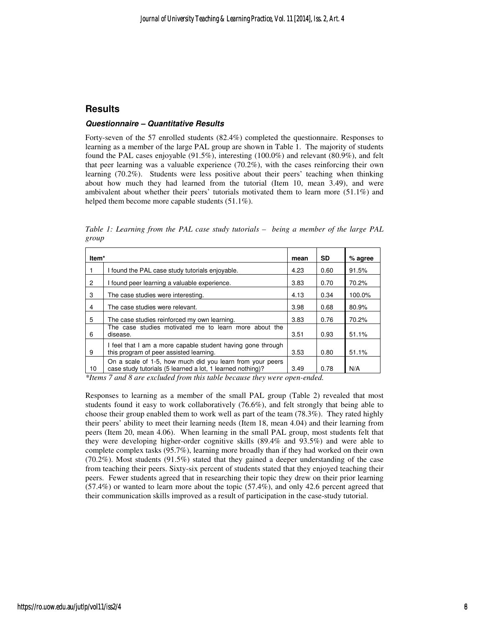## **Results**

#### **Questionnaire – Quantitative Results**

Forty-seven of the 57 enrolled students (82.4%) completed the questionnaire. Responses to learning as a member of the large PAL group are shown in Table 1. The majority of students found the PAL cases enjoyable (91.5%), interesting (100.0%) and relevant (80.9%), and felt that peer learning was a valuable experience (70.2%), with the cases reinforcing their own learning (70.2%). Students were less positive about their peers' teaching when thinking about how much they had learned from the tutorial (Item 10, mean 3.49), and were ambivalent about whether their peers' tutorials motivated them to learn more (51.1%) and helped them become more capable students  $(51.1\%)$ .

| Item <sup>*</sup> |                                                                                                                         | mean | <b>SD</b> | % agree |
|-------------------|-------------------------------------------------------------------------------------------------------------------------|------|-----------|---------|
|                   | I found the PAL case study tutorials enjoyable.                                                                         | 4.23 | 0.60      | 91.5%   |
| $\overline{2}$    | I found peer learning a valuable experience.                                                                            | 3.83 | 0.70      | 70.2%   |
| 3                 | The case studies were interesting.                                                                                      | 4.13 | 0.34      | 100.0%  |
| 4                 | The case studies were relevant.                                                                                         | 3.98 | 0.68      | 80.9%   |
| 5                 | The case studies reinforced my own learning.                                                                            | 3.83 | 0.76      | 70.2%   |
| 6                 | The case studies motivated me to learn more about the<br>disease.                                                       | 3.51 | 0.93      | 51.1%   |
| 9                 | I feel that I am a more capable student having gone through<br>this program of peer assisted learning.                  | 3.53 | 0.80      | 51.1%   |
| 10                | On a scale of 1-5, how much did you learn from your peers<br>case study tutorials (5 learned a lot, 1 learned nothing)? | 3.49 | 0.78      | N/A     |

*Table 1: Learning from the PAL case study tutorials – being a member of the large PAL group* 

*\*Items 7 and 8 are excluded from this table because they were open-ended.* 

Responses to learning as a member of the small PAL group (Table 2) revealed that most students found it easy to work collaboratively (76.6%), and felt strongly that being able to choose their group enabled them to work well as part of the team (78.3%). They rated highly their peers' ability to meet their learning needs (Item 18, mean 4.04) and their learning from peers (Item 20, mean 4.06). When learning in the small PAL group, most students felt that they were developing higher-order cognitive skills (89.4% and 93.5%) and were able to complete complex tasks (95.7%), learning more broadly than if they had worked on their own (70.2%). Most students (91.5%) stated that they gained a deeper understanding of the case from teaching their peers. Sixty-six percent of students stated that they enjoyed teaching their peers. Fewer students agreed that in researching their topic they drew on their prior learning (57.4%) or wanted to learn more about the topic (57.4%), and only 42.6 percent agreed that their communication skills improved as a result of participation in the case-study tutorial.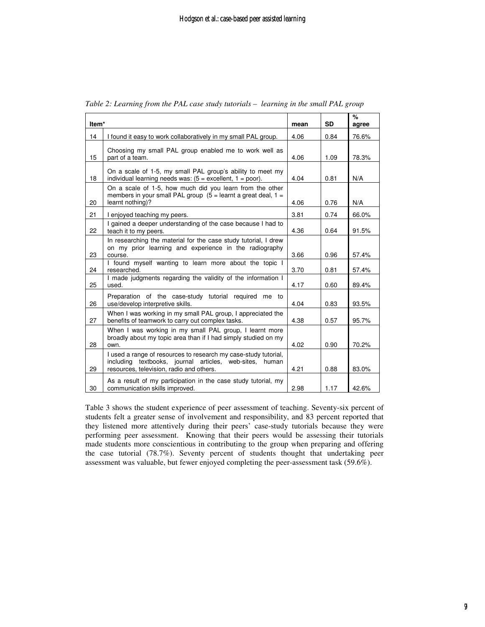|                   |                                                                                                                                                                        |      | <b>SD</b> | %     |
|-------------------|------------------------------------------------------------------------------------------------------------------------------------------------------------------------|------|-----------|-------|
| Item <sup>*</sup> |                                                                                                                                                                        | mean |           | agree |
| 14                | I found it easy to work collaboratively in my small PAL group.                                                                                                         | 4.06 | 0.84      | 76.6% |
| 15                | Choosing my small PAL group enabled me to work well as<br>part of a team.                                                                                              | 4.06 | 1.09      | 78.3% |
| 18                | On a scale of 1-5, my small PAL group's ability to meet my<br>individual learning needs was: $(5 = 1, 1)$ = poor).                                                     | 4.04 | 0.81      | N/A   |
| 20                | On a scale of 1-5, how much did you learn from the other<br>members in your small PAL group $(5 =$ learnt a great deal, $1 =$<br>learnt nothing)?                      | 4.06 | 0.76      | N/A   |
| 21                | I enjoyed teaching my peers.                                                                                                                                           | 3.81 | 0.74      | 66.0% |
| 22                | I gained a deeper understanding of the case because I had to<br>teach it to my peers.                                                                                  | 4.36 | 0.64      | 91.5% |
| 23                | In researching the material for the case study tutorial, I drew<br>on my prior learning and experience in the radiography<br>course.                                   | 3.66 | 0.96      | 57.4% |
| 24                | I found myself wanting to learn more about the topic I<br>researched.                                                                                                  | 3.70 | 0.81      | 57.4% |
| 25                | I made judgments regarding the validity of the information I<br>used.                                                                                                  | 4.17 | 0.60      | 89.4% |
| 26                | Preparation of the case-study tutorial required me to<br>use/develop interpretive skills.                                                                              | 4.04 | 0.83      | 93.5% |
| 27                | When I was working in my small PAL group, I appreciated the<br>benefits of teamwork to carry out complex tasks.                                                        | 4.38 | 0.57      | 95.7% |
| 28                | When I was working in my small PAL group, I learnt more<br>broadly about my topic area than if I had simply studied on my<br>own.                                      | 4.02 | 0.90      | 70.2% |
| 29                | I used a range of resources to research my case-study tutorial.<br>including textbooks, journal articles, web-sites, human<br>resources, television, radio and others. | 4.21 | 0.88      | 83.0% |
| 30                | As a result of my participation in the case study tutorial, my<br>communication skills improved.                                                                       | 2.98 | 1.17      | 42.6% |

*Table 2: Learning from the PAL case study tutorials – learning in the small PAL group* 

Table 3 shows the student experience of peer assessment of teaching. Seventy-six percent of students felt a greater sense of involvement and responsibility, and 83 percent reported that they listened more attentively during their peers' case-study tutorials because they were performing peer assessment. Knowing that their peers would be assessing their tutorials made students more conscientious in contributing to the group when preparing and offering the case tutorial (78.7%). Seventy percent of students thought that undertaking peer assessment was valuable, but fewer enjoyed completing the peer-assessment task (59.6%).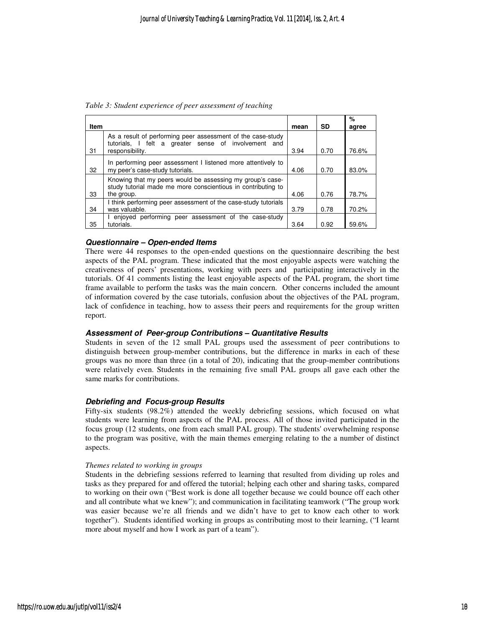*Table 3: Student experience of peer assessment of teaching* 

| <b>Item</b> |                                                                                                                                         | mean | <b>SD</b> | %<br>agree |
|-------------|-----------------------------------------------------------------------------------------------------------------------------------------|------|-----------|------------|
| 31          | As a result of performing peer assessment of the case-study<br>tutorials, I felt a greater sense of involvement and<br>responsibility.  | 3.94 | 0.70      | 76.6%      |
| 32          | In performing peer assessment I listened more attentively to<br>my peer's case-study tutorials.                                         | 4.06 | 0.70      | 83.0%      |
| 33          | Knowing that my peers would be assessing my group's case-<br>study tutorial made me more conscientious in contributing to<br>the group. | 4.06 | 0.76      | 78.7%      |
| 34          | I think performing peer assessment of the case-study tutorials<br>was valuable.                                                         | 3.79 | 0.78      | 70.2%      |
| 35          | enjoyed performing peer assessment of the case-study<br>tutorials.                                                                      | 3.64 | 0.92      | 59.6%      |

#### **Questionnaire – Open-ended Items**

There were 44 responses to the open-ended questions on the questionnaire describing the best aspects of the PAL program. These indicated that the most enjoyable aspects were watching the creativeness of peers' presentations, working with peers and participating interactively in the tutorials. Of 41 comments listing the least enjoyable aspects of the PAL program, the short time frame available to perform the tasks was the main concern. Other concerns included the amount of information covered by the case tutorials, confusion about the objectives of the PAL program, lack of confidence in teaching, how to assess their peers and requirements for the group written report.

#### **Assessment of Peer-group Contributions – Quantitative Results**

Students in seven of the 12 small PAL groups used the assessment of peer contributions to distinguish between group-member contributions, but the difference in marks in each of these groups was no more than three (in a total of 20), indicating that the group-member contributions were relatively even. Students in the remaining five small PAL groups all gave each other the same marks for contributions.

#### **Debriefing and Focus-group Results**

Fifty-six students (98.2%) attended the weekly debriefing sessions, which focused on what students were learning from aspects of the PAL process. All of those invited participated in the focus group (12 students, one from each small PAL group). The students' overwhelming response to the program was positive, with the main themes emerging relating to the a number of distinct aspects.

#### *Themes related to working in groups*

Students in the debriefing sessions referred to learning that resulted from dividing up roles and tasks as they prepared for and offered the tutorial; helping each other and sharing tasks, compared to working on their own ("Best work is done all together because we could bounce off each other and all contribute what we knew"); and communication in facilitating teamwork ("The group work was easier because we're all friends and we didn't have to get to know each other to work together"). Students identified working in groups as contributing most to their learning, ("I learnt more about myself and how I work as part of a team").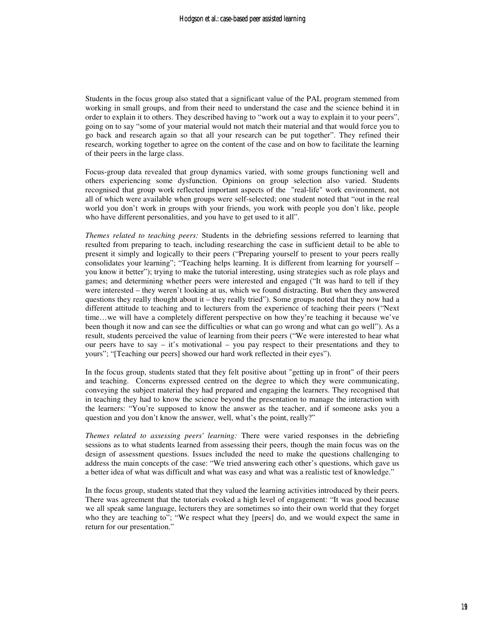Students in the focus group also stated that a significant value of the PAL program stemmed from working in small groups, and from their need to understand the case and the science behind it in order to explain it to others. They described having to "work out a way to explain it to your peers", going on to say "some of your material would not match their material and that would force you to go back and research again so that all your research can be put together". They refined their research, working together to agree on the content of the case and on how to facilitate the learning of their peers in the large class.

Focus-group data revealed that group dynamics varied, with some groups functioning well and others experiencing some dysfunction. Opinions on group selection also varied. Students recognised that group work reflected important aspects of the "real-life" work environment, not all of which were available when groups were self-selected; one student noted that "out in the real world you don't work in groups with your friends, you work with people you don't like, people who have different personalities, and you have to get used to it all".

*Themes related to teaching peers:* Students in the debriefing sessions referred to learning that resulted from preparing to teach, including researching the case in sufficient detail to be able to present it simply and logically to their peers ("Preparing yourself to present to your peers really consolidates your learning"; "Teaching helps learning. It is different from learning for yourself – you know it better"); trying to make the tutorial interesting, using strategies such as role plays and games; and determining whether peers were interested and engaged ("It was hard to tell if they were interested – they weren't looking at us, which we found distracting. But when they answered questions they really thought about it – they really tried"). Some groups noted that they now had a different attitude to teaching and to lecturers from the experience of teaching their peers ("Next time…we will have a completely different perspective on how they're teaching it because we've been though it now and can see the difficulties or what can go wrong and what can go well"). As a result, students perceived the value of learning from their peers ("We were interested to hear what our peers have to say – it's motivational – you pay respect to their presentations and they to yours"; "[Teaching our peers] showed our hard work reflected in their eyes").

In the focus group, students stated that they felt positive about "getting up in front" of their peers and teaching. Concerns expressed centred on the degree to which they were communicating, conveying the subject material they had prepared and engaging the learners. They recognised that in teaching they had to know the science beyond the presentation to manage the interaction with the learners: "You're supposed to know the answer as the teacher, and if someone asks you a question and you don't know the answer, well, what's the point, really?"

*Themes related to assessing peers' learning:* There were varied responses in the debriefing sessions as to what students learned from assessing their peers, though the main focus was on the design of assessment questions. Issues included the need to make the questions challenging to address the main concepts of the case: "We tried answering each other's questions, which gave us a better idea of what was difficult and what was easy and what was a realistic test of knowledge."

In the focus group, students stated that they valued the learning activities introduced by their peers. There was agreement that the tutorials evoked a high level of engagement: "It was good because we all speak same language, lecturers they are sometimes so into their own world that they forget who they are teaching to"; "We respect what they [peers] do, and we would expect the same in return for our presentation."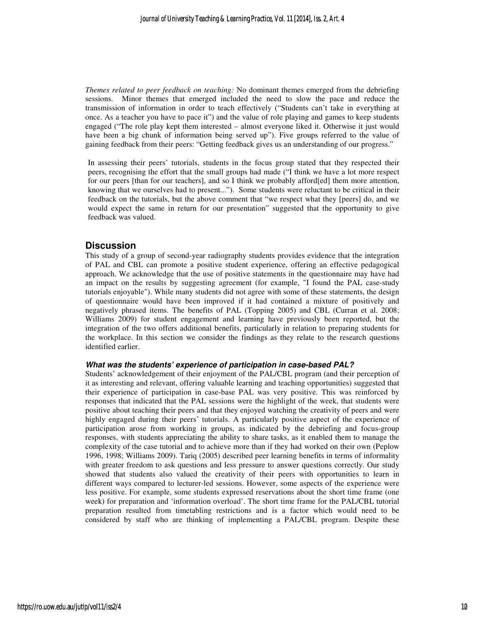*Themes related to peer feedback on teaching:* No dominant themes emerged from the debriefing sessions. Minor themes that emerged included the need to slow the pace and reduce the transmission of information in order to teach effectively ("Students can't take in everything at once. As a teacher you have to pace it") and the value of role playing and games to keep students engaged ("The role play kept them interested – almost everyone liked it. Otherwise it just would have been a big chunk of information being served up"). Five groups referred to the value of gaining feedback from their peers: "Getting feedback gives us an understanding of our progress."

In assessing their peers' tutorials, students in the focus group stated that they respected their peers, recognising the effort that the small groups had made ("I think we have a lot more respect for our peers [than for our teachers], and so I think we probably afford[ed] them more attention, knowing that we ourselves had to present..."). Some students were reluctant to be critical in their feedback on the tutorials, but the above comment that "we respect what they [peers] do, and we would expect the same in return for our presentation" suggested that the opportunity to give feedback was valued.

#### **Discussion**

This study of a group of second-year radiography students provides evidence that the integration of PAL and CBL can promote a positive student experience, offering an effective pedagogical approach. We acknowledge that the use of positive statements in the questionnaire may have had an impact on the results by suggesting agreement (for example, "I found the PAL case-study tutorials enjoyable"). While many students did not agree with some of these statements, the design of questionnaire would have been improved if it had contained a mixture of positively and negatively phrased items. The benefits of PAL (Topping 2005) and CBL (Curran et al. 2008; Williams 2009) for student engagement and learning have previously been reported, but the integration of the two offers additional benefits, particularly in relation to preparing students for the workplace. In this section we consider the findings as they relate to the research questions identified earlier.

#### **What was the students' experience of participation in case-based PAL?**

Students' acknowledgement of their enjoyment of the PAL/CBL program (and their perception of it as interesting and relevant, offering valuable learning and teaching opportunities) suggested that their experience of participation in case-base PAL was very positive. This was reinforced by responses that indicated that the PAL sessions were the highlight of the week, that students were positive about teaching their peers and that they enjoyed watching the creativity of peers and were highly engaged during their peers' tutorials. A particularly positive aspect of the experience of participation arose from working in groups, as indicated by the debriefing and focus-group responses, with students appreciating the ability to share tasks, as it enabled them to manage the complexity of the case tutorial and to achieve more than if they had worked on their own (Peplow 1996, 1998; Williams 2009). Tariq (2005) described peer learning benefits in terms of informality with greater freedom to ask questions and less pressure to answer questions correctly. Our study showed that students also valued the creativity of their peers with opportunities to learn in different ways compared to lecturer-led sessions. However, some aspects of the experience were less positive. For example, some students expressed reservations about the short time frame (one week) for preparation and 'information overload'. The short time frame for the PAL/CBL tutorial preparation resulted from timetabling restrictions and is a factor which would need to be considered by staff who are thinking of implementing a PAL/CBL program. Despite these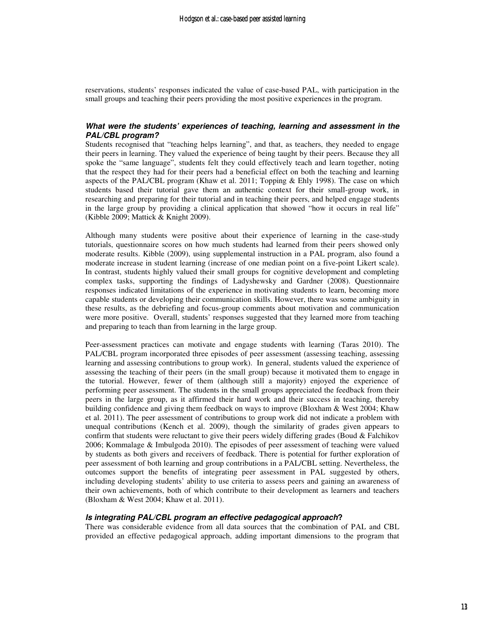reservations, students' responses indicated the value of case-based PAL, with participation in the small groups and teaching their peers providing the most positive experiences in the program.

#### **What were the students' experiences of teaching, learning and assessment in the PAL/CBL program?**

Students recognised that "teaching helps learning", and that, as teachers, they needed to engage their peers in learning. They valued the experience of being taught by their peers. Because they all spoke the "same language", students felt they could effectively teach and learn together, noting that the respect they had for their peers had a beneficial effect on both the teaching and learning aspects of the PAL/CBL program (Khaw et al. 2011; Topping & Ehly 1998). The case on which students based their tutorial gave them an authentic context for their small-group work, in researching and preparing for their tutorial and in teaching their peers, and helped engage students in the large group by providing a clinical application that showed "how it occurs in real life" (Kibble 2009; Mattick & Knight 2009).

Although many students were positive about their experience of learning in the case-study tutorials, questionnaire scores on how much students had learned from their peers showed only moderate results. Kibble (2009), using supplemental instruction in a PAL program, also found a moderate increase in student learning (increase of one median point on a five-point Likert scale). In contrast, students highly valued their small groups for cognitive development and completing complex tasks, supporting the findings of Ladyshewsky and Gardner (2008). Questionnaire responses indicated limitations of the experience in motivating students to learn, becoming more capable students or developing their communication skills. However, there was some ambiguity in these results, as the debriefing and focus-group comments about motivation and communication were more positive. Overall, students' responses suggested that they learned more from teaching and preparing to teach than from learning in the large group.

Peer-assessment practices can motivate and engage students with learning (Taras 2010). The PAL/CBL program incorporated three episodes of peer assessment (assessing teaching, assessing learning and assessing contributions to group work). In general, students valued the experience of assessing the teaching of their peers (in the small group) because it motivated them to engage in the tutorial. However, fewer of them (although still a majority) enjoyed the experience of performing peer assessment. The students in the small groups appreciated the feedback from their peers in the large group, as it affirmed their hard work and their success in teaching, thereby building confidence and giving them feedback on ways to improve (Bloxham & West 2004; Khaw et al. 2011). The peer assessment of contributions to group work did not indicate a problem with unequal contributions (Kench et al. 2009), though the similarity of grades given appears to confirm that students were reluctant to give their peers widely differing grades (Boud & Falchikov 2006; Kommalage & Imbulgoda 2010). The episodes of peer assessment of teaching were valued by students as both givers and receivers of feedback. There is potential for further exploration of peer assessment of both learning and group contributions in a PAL/CBL setting. Nevertheless, the outcomes support the benefits of integrating peer assessment in PAL suggested by others, including developing students' ability to use criteria to assess peers and gaining an awareness of their own achievements, both of which contribute to their development as learners and teachers (Bloxham & West 2004; Khaw et al. 2011).

#### **Is integrating PAL/CBL program an effective pedagogical approach?**

There was considerable evidence from all data sources that the combination of PAL and CBL provided an effective pedagogical approach, adding important dimensions to the program that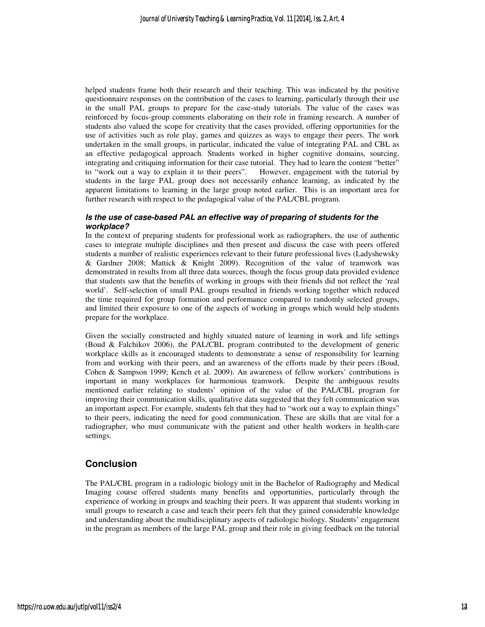helped students frame both their research and their teaching. This was indicated by the positive questionnaire responses on the contribution of the cases to learning, particularly through their use in the small PAL groups to prepare for the case-study tutorials. The value of the cases was reinforced by focus-group comments elaborating on their role in framing research. A number of students also valued the scope for creativity that the cases provided, offering opportunities for the use of activities such as role play, games and quizzes as ways to engage their peers. The work undertaken in the small groups, in particular, indicated the value of integrating PAL and CBL as an effective pedagogical approach. Students worked in higher cognitive domains, sourcing, integrating and critiquing information for their case tutorial. They had to learn the content "better" to "work out a way to explain it to their peers". However, engagement with the tutorial by students in the large PAL group does not necessarily enhance learning, as indicated by the apparent limitations to learning in the large group noted earlier. This is an important area for further research with respect to the pedagogical value of the PAL/CBL program.

#### **Is the use of case-based PAL an effective way of preparing of students for the workplace?**

In the context of preparing students for professional work as radiographers, the use of authentic cases to integrate multiple disciplines and then present and discuss the case with peers offered students a number of realistic experiences relevant to their future professional lives (Ladyshewsky & Gardner 2008; Mattick & Knight 2009). Recognition of the value of teamwork was demonstrated in results from all three data sources, though the focus group data provided evidence that students saw that the benefits of working in groups with their friends did not reflect the 'real world'. Self-selection of small PAL groups resulted in friends working together which reduced the time required for group formation and performance compared to randomly selected groups, and limited their exposure to one of the aspects of working in groups which would help students prepare for the workplace.

Given the socially constructed and highly situated nature of learning in work and life settings (Boud & Falchikov 2006), the PAL/CBL program contributed to the development of generic workplace skills as it encouraged students to demonstrate a sense of responsibility for learning from and working with their peers, and an awareness of the efforts made by their peers (Boud, Cohen & Sampson 1999; Kench et al. 2009). An awareness of fellow workers' contributions is important in many workplaces for harmonious teamwork. Despite the ambiguous results mentioned earlier relating to students' opinion of the value of the PAL/CBL program for improving their communication skills, qualitative data suggested that they felt communication was an important aspect. For example, students felt that they had to "work out a way to explain things" to their peers, indicating the need for good communication. These are skills that are vital for a radiographer, who must communicate with the patient and other health workers in health-care settings.

# **Conclusion**

The PAL/CBL program in a radiologic biology unit in the Bachelor of Radiography and Medical Imaging course offered students many benefits and opportunities, particularly through the experience of working in groups and teaching their peers. It was apparent that students working in small groups to research a case and teach their peers felt that they gained considerable knowledge and understanding about the multidisciplinary aspects of radiologic biology. Students' engagement in the program as members of the large PAL group and their role in giving feedback on the tutorial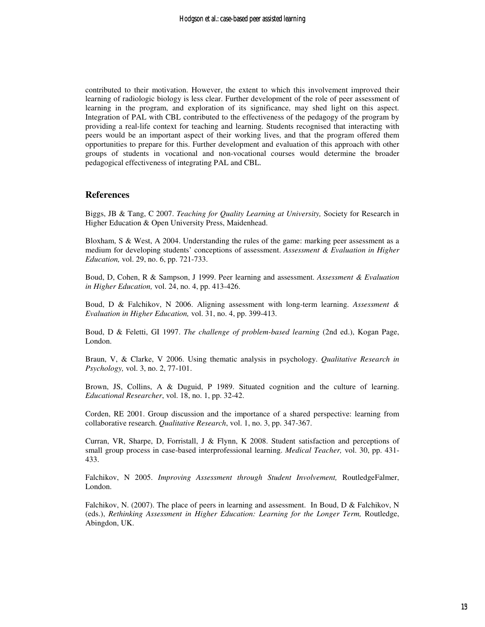contributed to their motivation. However, the extent to which this involvement improved their learning of radiologic biology is less clear. Further development of the role of peer assessment of learning in the program, and exploration of its significance, may shed light on this aspect. Integration of PAL with CBL contributed to the effectiveness of the pedagogy of the program by providing a real-life context for teaching and learning. Students recognised that interacting with peers would be an important aspect of their working lives, and that the program offered them opportunities to prepare for this. Further development and evaluation of this approach with other groups of students in vocational and non-vocational courses would determine the broader pedagogical effectiveness of integrating PAL and CBL.

#### **References**

Biggs, JB & Tang, C 2007. *Teaching for Quality Learning at University,* Society for Research in Higher Education & Open University Press, Maidenhead.

Bloxham, S & West, A 2004. Understanding the rules of the game: marking peer assessment as a medium for developing students' conceptions of assessment. *Assessment & Evaluation in Higher Education,* vol. 29, no. 6, pp. 721-733.

Boud, D, Cohen, R & Sampson, J 1999. Peer learning and assessment. *Assessment & Evaluation in Higher Education,* vol. 24, no. 4, pp. 413-426.

Boud, D & Falchikov, N 2006. Aligning assessment with long-term learning. *Assessment & Evaluation in Higher Education,* vol. 31, no. 4, pp. 399-413.

Boud, D & Feletti, GI 1997. *The challenge of problem-based learning* (2nd ed.), Kogan Page, London.

Braun, V, & Clarke, V 2006. Using thematic analysis in psychology. *Qualitative Research in Psychology,* vol. 3, no. 2, 77-101.

Brown, JS, Collins, A & Duguid, P 1989. Situated cognition and the culture of learning. *Educational Researcher*, vol. 18, no. 1, pp. 32-42.

Corden, RE 2001. Group discussion and the importance of a shared perspective: learning from collaborative research. *Qualitative Research*, vol. 1, no. 3, pp. 347-367.

Curran, VR, Sharpe, D, Forristall, J & Flynn, K 2008. Student satisfaction and perceptions of small group process in case-based interprofessional learning. *Medical Teacher,* vol. 30, pp. 431- 433.

Falchikov, N 2005. *Improving Assessment through Student Involvement,* RoutledgeFalmer, London.

Falchikov, N. (2007). The place of peers in learning and assessment. In Boud, D & Falchikov, N (eds.), *Rethinking Assessment in Higher Education: Learning for the Longer Term,* Routledge, Abingdon, UK.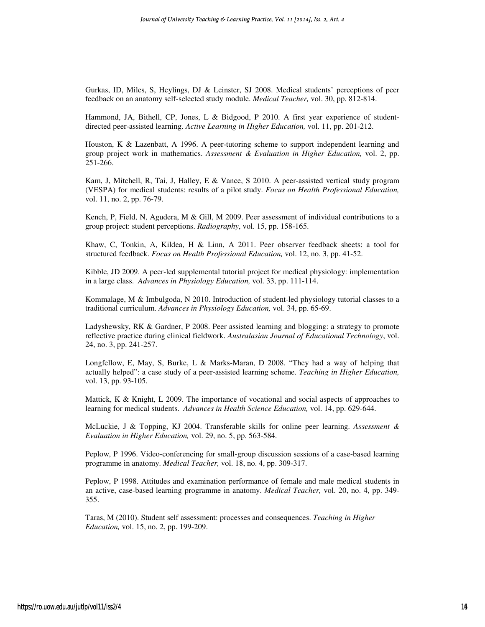Gurkas, ID, Miles, S, Heylings, DJ & Leinster, SJ 2008. Medical students' perceptions of peer feedback on an anatomy self-selected study module. *Medical Teacher,* vol. 30, pp. 812-814.

Hammond, JA, Bithell, CP, Jones, L & Bidgood, P 2010. A first year experience of studentdirected peer-assisted learning. *Active Learning in Higher Education,* vol. 11, pp. 201-212.

Houston, K & Lazenbatt, A 1996. A peer-tutoring scheme to support independent learning and group project work in mathematics. *Assessment & Evaluation in Higher Education,* vol. 2, pp. 251-266.

Kam, J, Mitchell, R, Tai, J, Halley, E & Vance, S 2010. A peer-assisted vertical study program (VESPA) for medical students: results of a pilot study. *Focus on Health Professional Education,*  vol. 11, no. 2, pp. 76-79.

Kench, P, Field, N, Agudera, M & Gill, M 2009. Peer assessment of individual contributions to a group project: student perceptions. *Radiography*, vol. 15, pp. 158-165.

Khaw, C, Tonkin, A, Kildea, H & Linn, A 2011. Peer observer feedback sheets: a tool for structured feedback. *Focus on Health Professional Education,* vol. 12, no. 3, pp. 41-52.

Kibble, JD 2009. A peer-led supplemental tutorial project for medical physiology: implementation in a large class. *Advances in Physiology Education,* vol. 33, pp. 111-114.

Kommalage, M & Imbulgoda, N 2010. Introduction of student-led physiology tutorial classes to a traditional curriculum. *Advances in Physiology Education,* vol. 34, pp. 65-69.

Ladyshewsky, RK & Gardner, P 2008. Peer assisted learning and blogging: a strategy to promote reflective practice during clinical fieldwork. *Australasian Journal of Educational Technology*, vol. 24, no. 3, pp. 241-257.

Longfellow, E, May, S, Burke, L & Marks-Maran, D 2008. "They had a way of helping that actually helped": a case study of a peer-assisted learning scheme. *Teaching in Higher Education,*  vol. 13, pp. 93-105.

Mattick, K & Knight, L 2009. The importance of vocational and social aspects of approaches to learning for medical students. *Advances in Health Science Education,* vol. 14, pp. 629-644.

McLuckie, J & Topping, KJ 2004. Transferable skills for online peer learning. *Assessment & Evaluation in Higher Education,* vol. 29, no. 5, pp. 563-584.

Peplow, P 1996. Video-conferencing for small-group discussion sessions of a case-based learning programme in anatomy. *Medical Teacher,* vol. 18, no. 4, pp. 309-317.

Peplow, P 1998. Attitudes and examination performance of female and male medical students in an active, case-based learning programme in anatomy. *Medical Teacher,* vol. 20, no. 4, pp. 349- 355.

Taras, M (2010). Student self assessment: processes and consequences. *Teaching in Higher Education,* vol. 15, no. 2, pp. 199-209.